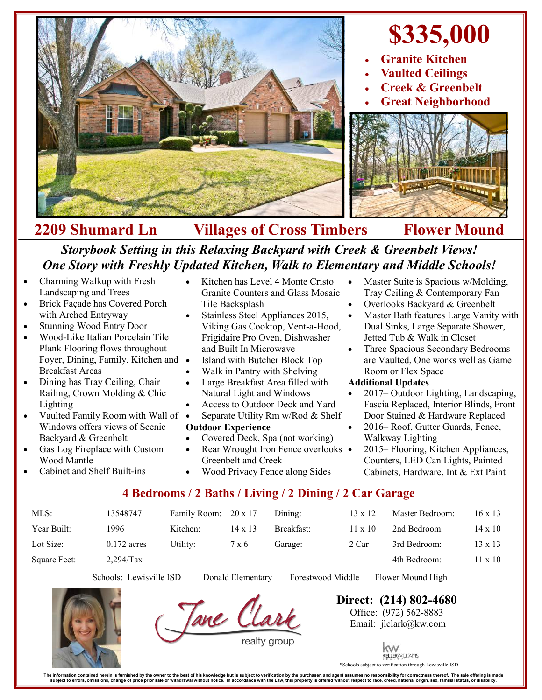

## **2209 Shumard Ln Villages of Cross Timbers Flower Mound** *Storybook Setting in this Relaxing Backyard with Creek & Greenbelt Views!*

# *One Story with Freshly Updated Kitchen, Walk to Elementary and Middle Schools!*

- Charming Walkup with Fresh Landscaping and Trees
- Brick Façade has Covered Porch with Arched Entryway
- Stunning Wood Entry Door
- Wood-Like Italian Porcelain Tile Plank Flooring flows throughout Foyer, Dining, Family, Kitchen and Breakfast Areas
- Dining has Tray Ceiling, Chair Railing, Crown Molding & Chic Lighting
- Vaulted Family Room with Wall of Windows offers views of Scenic Backyard & Greenbelt
- Gas Log Fireplace with Custom Wood Mantle
- Cabinet and Shelf Built-ins
- Kitchen has Level 4 Monte Cristo Granite Counters and Glass Mosaic Tile Backsplash
- Stainless Steel Appliances 2015, Viking Gas Cooktop, Vent-a-Hood, Frigidaire Pro Oven, Dishwasher and Built In Microwave
- Island with Butcher Block Top
- Walk in Pantry with Shelving
- Large Breakfast Area filled with Natural Light and Windows
- Access to Outdoor Deck and Yard
- Separate Utility Rm w/Rod & Shelf

#### **Outdoor Experience**

- Covered Deck, Spa (not working)
- Rear Wrought Iron Fence overlooks Greenbelt and Creek Wood Privacy Fence along Sides
- Master Suite is Spacious w/Molding, Tray Ceiling & Contemporary Fan
- Overlooks Backyard & Greenbelt
- Master Bath features Large Vanity with Dual Sinks, Large Separate Shower, Jetted Tub & Walk in Closet
- Three Spacious Secondary Bedrooms are Vaulted, One works well as Game Room or Flex Space

#### **Additional Updates**

- 2017– Outdoor Lighting, Landscaping, Fascia Replaced, Interior Blinds, Front Door Stained & Hardware Replaced
- 2016– Roof, Gutter Guards, Fence, Walkway Lighting
- 2015– Flooring, Kitchen Appliances, Counters, LED Can Lights, Painted Cabinets, Hardware, Int & Ext Paint

### **4 Bedrooms / 2 Baths / Living / 2 Dining / 2 Car Garage**

|          |                                        | Dining:              | 13 x 12             | Master Bedroom: | 16 x 13        |
|----------|----------------------------------------|----------------------|---------------------|-----------------|----------------|
| Kitchen: | $14 \times 13$                         | Breakfast:           | $11 \times 10^{-7}$ | 2nd Bedroom:    | 14 x 10        |
| Utility: | 7 x 6                                  | Garage:              | 2 Car               | 3rd Bedroom:    | $13 \times 13$ |
|          |                                        |                      |                     | 4th Bedroom:    | $11 \times 10$ |
|          | 13548747<br>$0.172$ acres<br>2,294/Tax | Family Room: 20 x 17 |                     |                 |                |

Schools: Lewisville ISD Donald Elementary Forestwood Middle Flower Mound High

Tane CL

**Direct: (214) 802-4680** Office: (972) 562-8883 Email: jlclark@kw.com



KELLERWILLIAMS Schools subject to verification through Lewisville ISD

The information contained herein is furnished by the owner to the best of his knowledge but is subject to verification by the purchaser, and agent assumes no responsibility for correctness thereof. The sale offering is mad perty is offered without respect to race, creed, national origin, sex, familial status, or disa